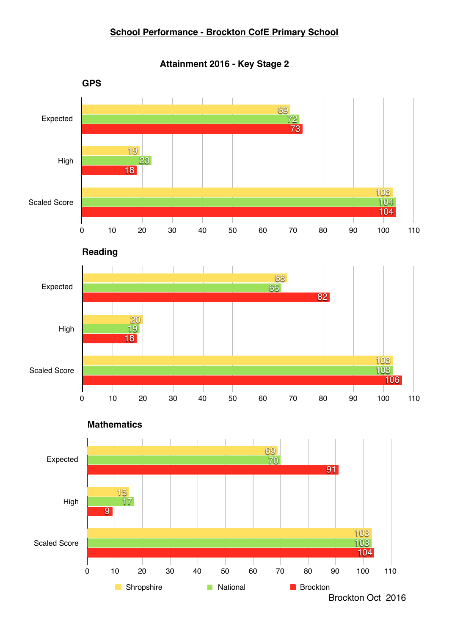#### **School Performance - Brockton CofE Primary School**

**Attainment 2016 - Key Stage 2**

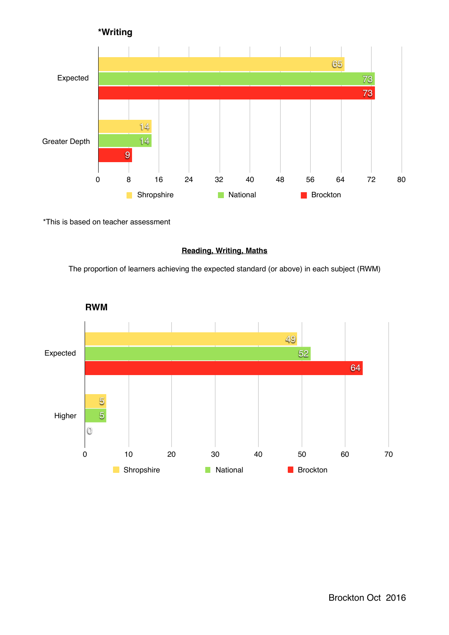

\*This is based on teacher assessment

#### **Reading, Writing, Maths**

The proportion of learners achieving the expected standard (or above) in each subject (RWM)

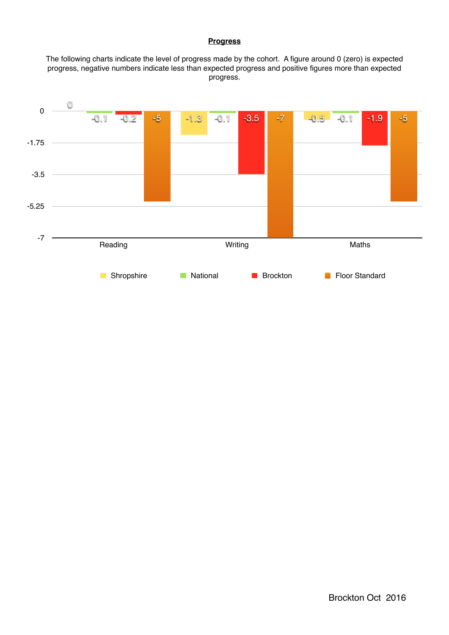#### **Progress**

The following charts indicate the level of progress made by the cohort. A figure around 0 (zero) is expected progress, negative numbers indicate less than expected progress and positive figures more than expected progress.

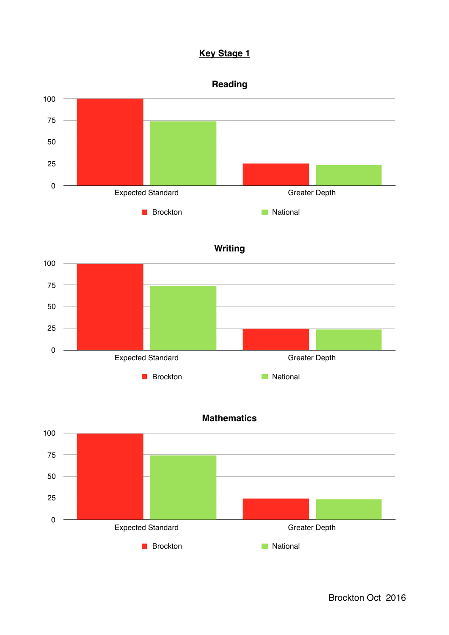## **Key Stage 1**



**Brockton** National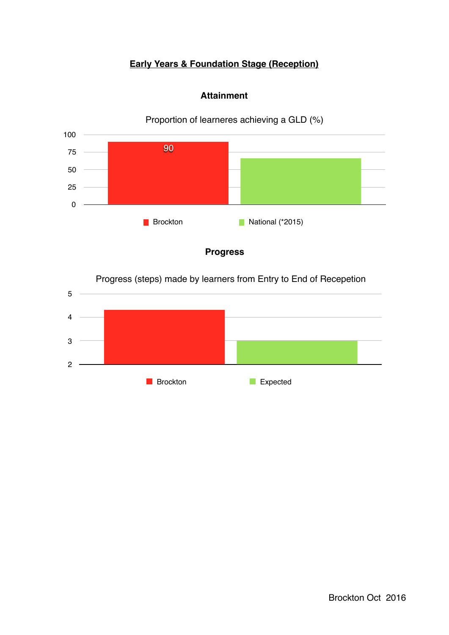# **Early Years & Foundation Stage (Reception)**



## **Attainment**

**Progress**

Progress (steps) made by learners from Entry to End of Recepetion